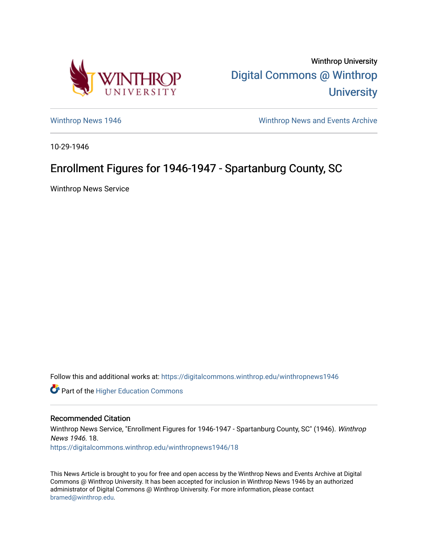

Winthrop University [Digital Commons @ Winthrop](https://digitalcommons.winthrop.edu/)  **University** 

[Winthrop News 1946](https://digitalcommons.winthrop.edu/winthropnews1946) [Winthrop News and Events Archive](https://digitalcommons.winthrop.edu/winthropnewsarchives) 

10-29-1946

## Enrollment Figures for 1946-1947 - Spartanburg County, SC

Winthrop News Service

Follow this and additional works at: [https://digitalcommons.winthrop.edu/winthropnews1946](https://digitalcommons.winthrop.edu/winthropnews1946?utm_source=digitalcommons.winthrop.edu%2Fwinthropnews1946%2F18&utm_medium=PDF&utm_campaign=PDFCoverPages) 

Part of the [Higher Education Commons](http://network.bepress.com/hgg/discipline/1245?utm_source=digitalcommons.winthrop.edu%2Fwinthropnews1946%2F18&utm_medium=PDF&utm_campaign=PDFCoverPages) 

## Recommended Citation

Winthrop News Service, "Enrollment Figures for 1946-1947 - Spartanburg County, SC" (1946). Winthrop News 1946. 18. [https://digitalcommons.winthrop.edu/winthropnews1946/18](https://digitalcommons.winthrop.edu/winthropnews1946/18?utm_source=digitalcommons.winthrop.edu%2Fwinthropnews1946%2F18&utm_medium=PDF&utm_campaign=PDFCoverPages)

This News Article is brought to you for free and open access by the Winthrop News and Events Archive at Digital Commons @ Winthrop University. It has been accepted for inclusion in Winthrop News 1946 by an authorized administrator of Digital Commons @ Winthrop University. For more information, please contact [bramed@winthrop.edu.](mailto:bramed@winthrop.edu)